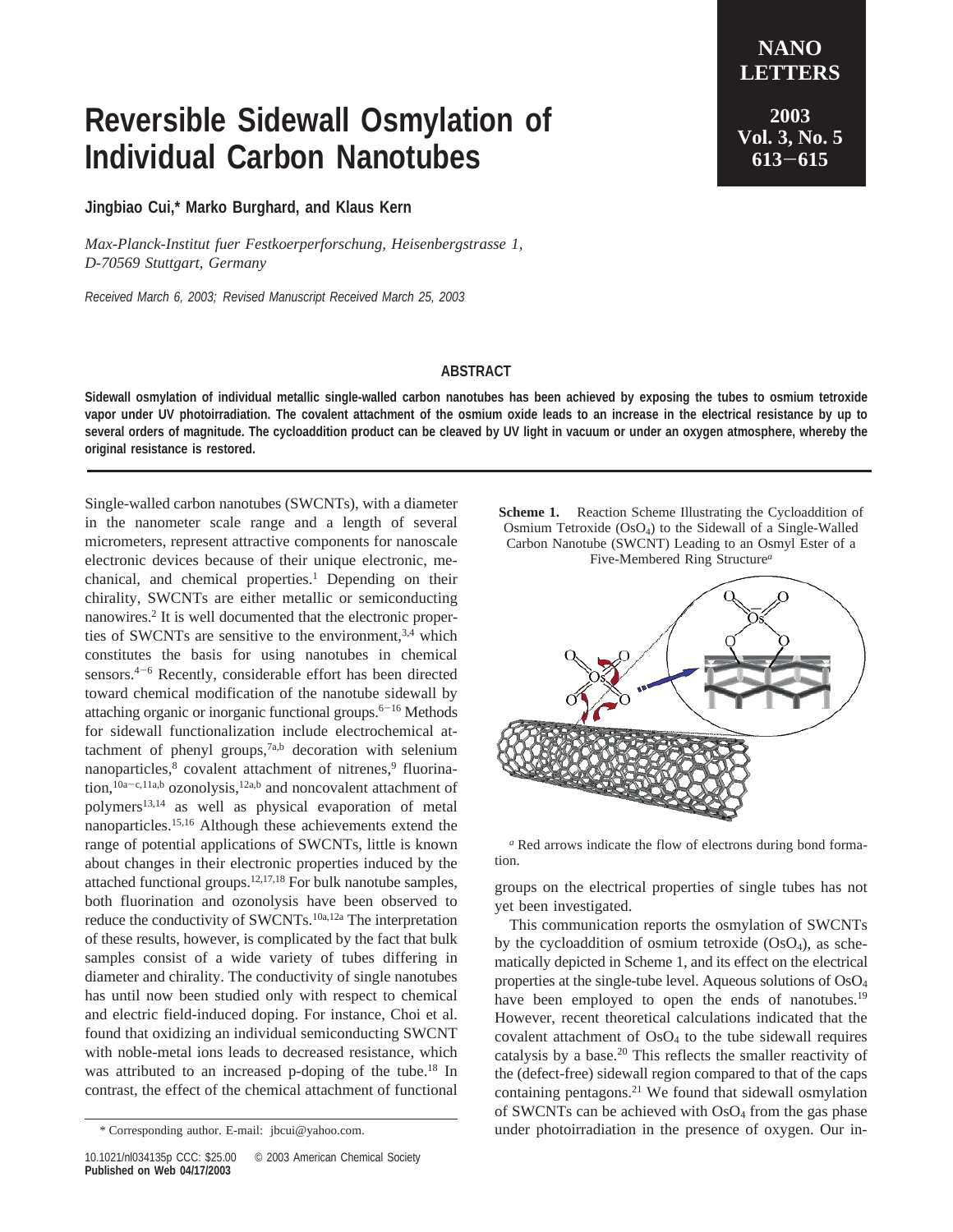## **Reversible Sidewall Osmylation of Individual Carbon Nanotubes**

**Jingbiao Cui,\* Marko Burghard, and Klaus Kern**

*Max-Planck-Institut fuer Festkoerperforschung, Heisenbergstrasse 1, D-70569 Stuttgart, Germany*

*Received March 6, 2003; Revised Manuscript Received March 25, 2003*

**<sup>613</sup>**-**<sup>615</sup>**

**ABSTRACT**

**Sidewall osmylation of individual metallic single-walled carbon nanotubes has been achieved by exposing the tubes to osmium tetroxide vapor under UV photoirradiation. The covalent attachment of the osmium oxide leads to an increase in the electrical resistance by up to several orders of magnitude. The cycloaddition product can be cleaved by UV light in vacuum or under an oxygen atmosphere, whereby the original resistance is restored.**

Single-walled carbon nanotubes (SWCNTs), with a diameter in the nanometer scale range and a length of several micrometers, represent attractive components for nanoscale electronic devices because of their unique electronic, mechanical, and chemical properties.<sup>1</sup> Depending on their chirality, SWCNTs are either metallic or semiconducting nanowires.2 It is well documented that the electronic properties of SWCNTs are sensitive to the environment.<sup>3,4</sup> which constitutes the basis for using nanotubes in chemical sensors.4-<sup>6</sup> Recently, considerable effort has been directed toward chemical modification of the nanotube sidewall by attaching organic or inorganic functional groups. $6-16$  Methods for sidewall functionalization include electrochemical attachment of phenyl groups, $7a,b$  decoration with selenium nanoparticles,<sup>8</sup> covalent attachment of nitrenes,<sup>9</sup> fluorination,<sup>10a-c,11a,b</sup> ozonolysis,<sup>12a,b</sup> and noncovalent attachment of polymers13,14 as well as physical evaporation of metal nanoparticles.15,16 Although these achievements extend the range of potential applications of SWCNTs, little is known about changes in their electronic properties induced by the attached functional groups.12,17,18 For bulk nanotube samples, both fluorination and ozonolysis have been observed to reduce the conductivity of SWCNTs.10a,12a The interpretation of these results, however, is complicated by the fact that bulk samples consist of a wide variety of tubes differing in diameter and chirality. The conductivity of single nanotubes has until now been studied only with respect to chemical and electric field-induced doping. For instance, Choi et al. found that oxidizing an individual semiconducting SWCNT with noble-metal ions leads to decreased resistance, which was attributed to an increased p-doping of the tube.<sup>18</sup> In contrast, the effect of the chemical attachment of functional

**Scheme 1.** Reaction Scheme Illustrating the Cycloaddition of Osmium Tetroxide (OsO4) to the Sidewall of a Single-Walled Carbon Nanotube (SWCNT) Leading to an Osmyl Ester of a Five-Membered Ring Structure*<sup>a</sup>*



*<sup>a</sup>* Red arrows indicate the flow of electrons during bond formation.

groups on the electrical properties of single tubes has not yet been investigated.

This communication reports the osmylation of SWCNTs by the cycloaddition of osmium tetroxide  $(OsO<sub>4</sub>)$ , as schematically depicted in Scheme 1, and its effect on the electrical properties at the single-tube level. Aqueous solutions of OsO4 have been employed to open the ends of nanotubes.<sup>19</sup> However, recent theoretical calculations indicated that the covalent attachment of OsO4 to the tube sidewall requires catalysis by a base.<sup>20</sup> This reflects the smaller reactivity of the (defect-free) sidewall region compared to that of the caps containing pentagons. $21$  We found that sidewall osmylation of SWCNTs can be achieved with OsO<sub>4</sub> from the gas phase \* Corresponding author. E-mail: jbcui@yahoo.com. under photoirradiation in the presence of oxygen. Our in-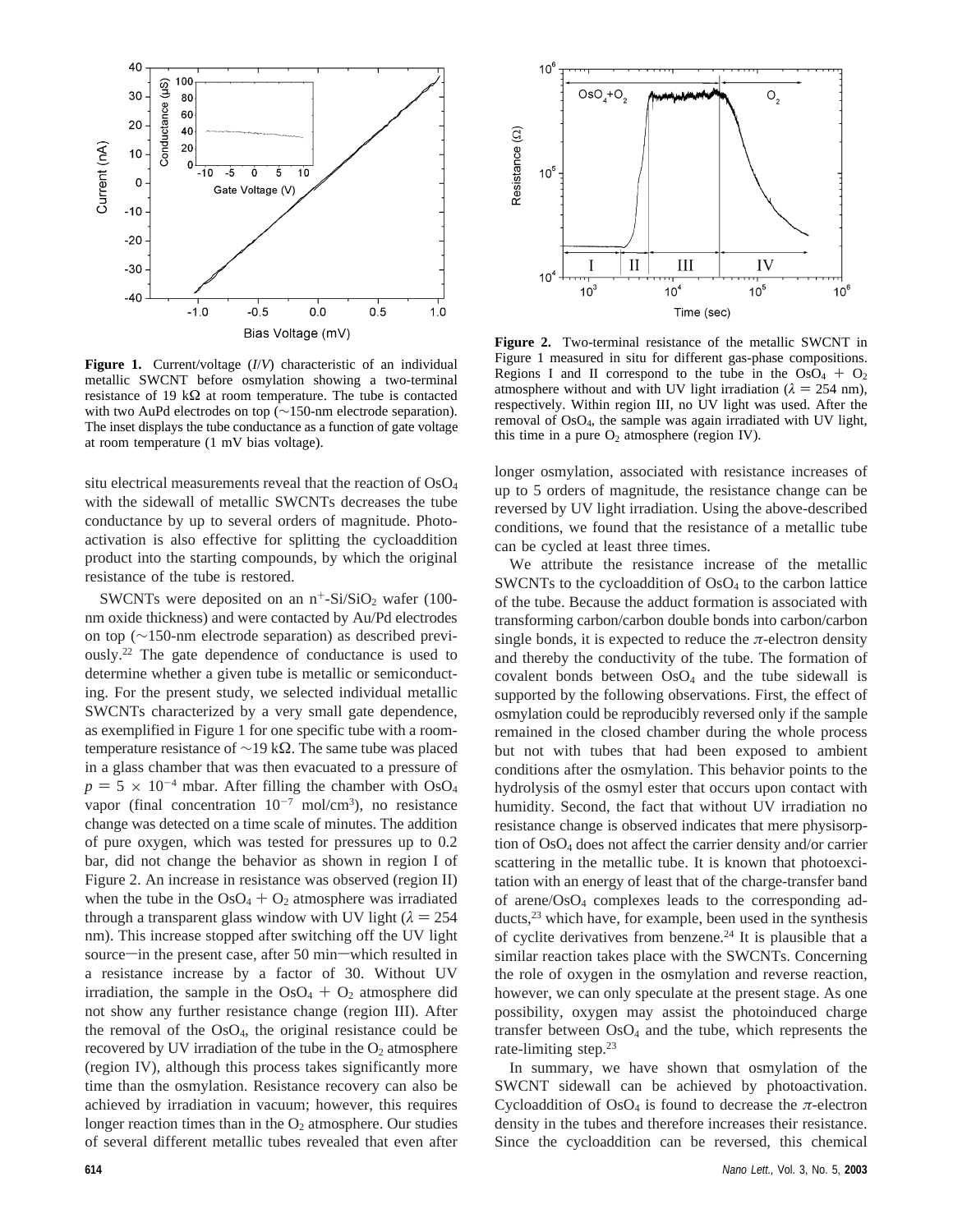

**Figure 1.** Current/voltage (*I*/*V*) characteristic of an individual metallic SWCNT before osmylation showing a two-terminal resistance of 19 k $\Omega$  at room temperature. The tube is contacted with two AuPd electrodes on top (∼150-nm electrode separation). The inset displays the tube conductance as a function of gate voltage at room temperature (1 mV bias voltage).

situ electrical measurements reveal that the reaction of  $OsO<sub>4</sub>$ with the sidewall of metallic SWCNTs decreases the tube conductance by up to several orders of magnitude. Photoactivation is also effective for splitting the cycloaddition product into the starting compounds, by which the original resistance of the tube is restored.

SWCNTs were deposited on an  $n^+$ -Si/SiO<sub>2</sub> wafer (100nm oxide thickness) and were contacted by Au/Pd electrodes on top (∼150-nm electrode separation) as described previously.22 The gate dependence of conductance is used to determine whether a given tube is metallic or semiconducting. For the present study, we selected individual metallic SWCNTs characterized by a very small gate dependence, as exemplified in Figure 1 for one specific tube with a roomtemperature resistance of ∼19 kΩ. The same tube was placed in a glass chamber that was then evacuated to a pressure of  $p = 5 \times 10^{-4}$  mbar. After filling the chamber with OsO<sub>4</sub> vapor (final concentration  $10^{-7}$  mol/cm<sup>3</sup>), no resistance change was detected on a time scale of minutes. The addition of pure oxygen, which was tested for pressures up to 0.2 bar, did not change the behavior as shown in region I of Figure 2. An increase in resistance was observed (region II) when the tube in the  $OsO<sub>4</sub> + O<sub>2</sub>$  atmosphere was irradiated through a transparent glass window with UV light  $(\lambda = 254)$ nm). This increase stopped after switching off the UV light source—in the present case, after 50 min—which resulted in a resistance increase by a factor of 30. Without UV irradiation, the sample in the  $OsO<sub>4</sub> + O<sub>2</sub>$  atmosphere did not show any further resistance change (region III). After the removal of the  $OsO<sub>4</sub>$ , the original resistance could be recovered by UV irradiation of the tube in the  $O_2$  atmosphere (region IV), although this process takes significantly more time than the osmylation. Resistance recovery can also be achieved by irradiation in vacuum; however, this requires longer reaction times than in the  $O<sub>2</sub>$  atmosphere. Our studies of several different metallic tubes revealed that even after



**Figure 2.** Two-terminal resistance of the metallic SWCNT in Figure 1 measured in situ for different gas-phase compositions. Regions I and II correspond to the tube in the  $OsO<sub>4</sub> + O<sub>2</sub>$ atmosphere without and with UV light irradiation ( $\lambda = 254$  nm), respectively. Within region III, no UV light was used. After the removal of OsO4, the sample was again irradiated with UV light, this time in a pure  $O_2$  atmosphere (region IV).

longer osmylation, associated with resistance increases of up to 5 orders of magnitude, the resistance change can be reversed by UV light irradiation. Using the above-described conditions, we found that the resistance of a metallic tube can be cycled at least three times.

We attribute the resistance increase of the metallic SWCNTs to the cycloaddition of  $OsO<sub>4</sub>$  to the carbon lattice of the tube. Because the adduct formation is associated with transforming carbon/carbon double bonds into carbon/carbon single bonds, it is expected to reduce the  $\pi$ -electron density and thereby the conductivity of the tube. The formation of covalent bonds between OsO4 and the tube sidewall is supported by the following observations. First, the effect of osmylation could be reproducibly reversed only if the sample remained in the closed chamber during the whole process but not with tubes that had been exposed to ambient conditions after the osmylation. This behavior points to the hydrolysis of the osmyl ester that occurs upon contact with humidity. Second, the fact that without UV irradiation no resistance change is observed indicates that mere physisorption of OsO4 does not affect the carrier density and/or carrier scattering in the metallic tube. It is known that photoexcitation with an energy of least that of the charge-transfer band of arene/OsO4 complexes leads to the corresponding adducts,<sup>23</sup> which have, for example, been used in the synthesis of cyclite derivatives from benzene.<sup>24</sup> It is plausible that a similar reaction takes place with the SWCNTs. Concerning the role of oxygen in the osmylation and reverse reaction, however, we can only speculate at the present stage. As one possibility, oxygen may assist the photoinduced charge transfer between  $OsO<sub>4</sub>$  and the tube, which represents the rate-limiting step.23

In summary, we have shown that osmylation of the SWCNT sidewall can be achieved by photoactivation. Cycloaddition of  $OsO<sub>4</sub>$  is found to decrease the  $\pi$ -electron density in the tubes and therefore increases their resistance. Since the cycloaddition can be reversed, this chemical